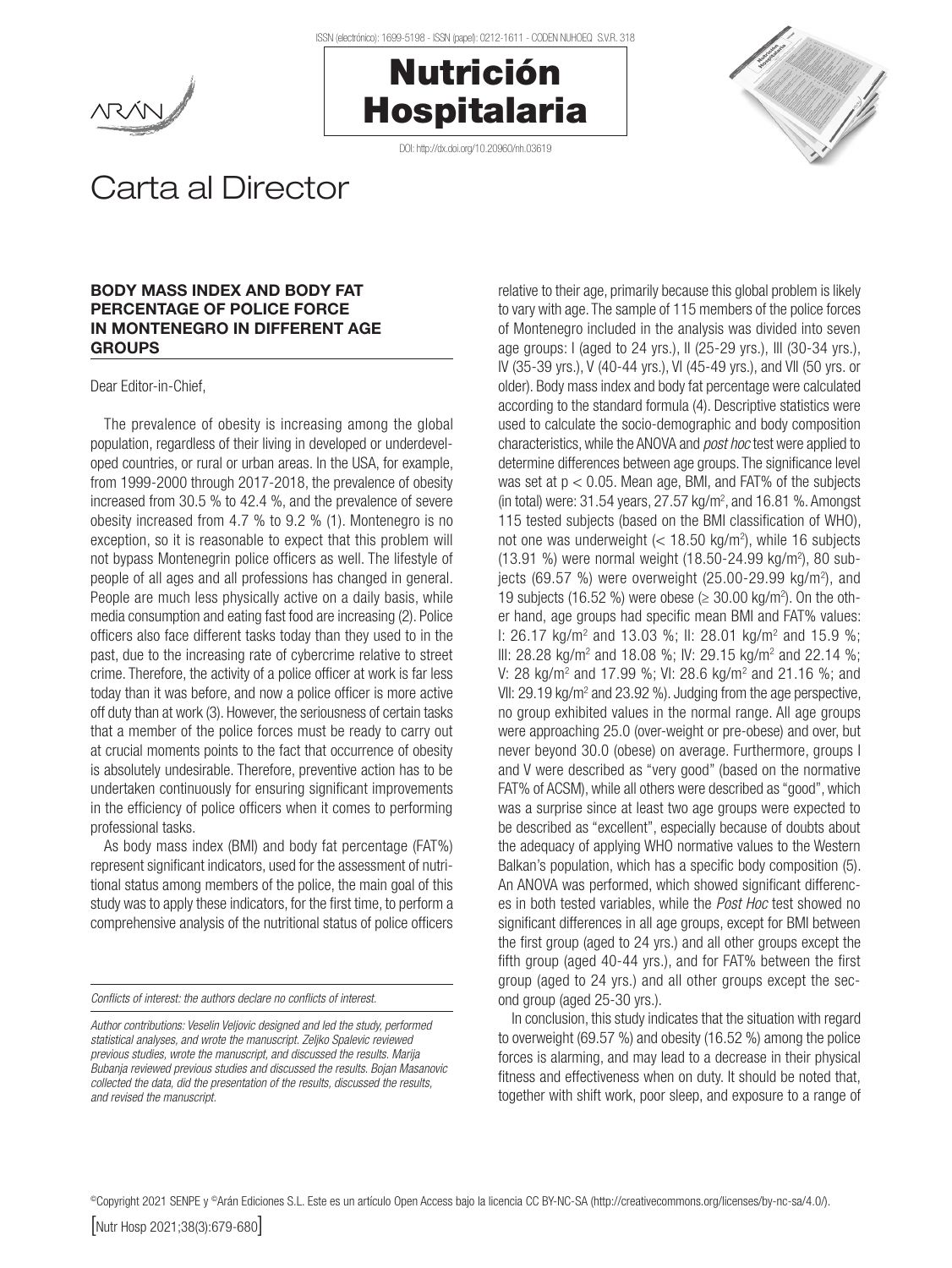





## Carta al Director

## BODY MASS INDEX AND BODY FAT PERCENTAGE OF POLICE FORCE IN MONTENEGRO IN DIFFERENT AGE GROUPS

Dear Editor-in-Chief,

The prevalence of obesity is increasing among the global population, regardless of their living in developed or underdeveloped countries, or rural or urban areas. In the USA, for example, from 1999-2000 through 2017-2018, the prevalence of obesity increased from 30.5 % to 42.4 %, and the prevalence of severe obesity increased from 4.7 % to 9.2 % (1). Montenegro is no exception, so it is reasonable to expect that this problem will not bypass Montenegrin police officers as well. The lifestyle of people of all ages and all professions has changed in general. People are much less physically active on a daily basis, while media consumption and eating fast food are increasing (2). Police officers also face different tasks today than they used to in the past, due to the increasing rate of cybercrime relative to street crime. Therefore, the activity of a police officer at work is far less today than it was before, and now a police officer is more active off duty than at work (3). However, the seriousness of certain tasks that a member of the police forces must be ready to carry out at crucial moments points to the fact that occurrence of obesity is absolutely undesirable. Therefore, preventive action has to be undertaken continuously for ensuring significant improvements in the efficiency of police officers when it comes to performing professional tasks.

As body mass index (BMI) and body fat percentage (FAT%) represent significant indicators, used for the assessment of nutritional status among members of the police, the main goal of this study was to apply these indicators, for the first time, to perform a comprehensive analysis of the nutritional status of police officers

*Conflicts of interest: the authors declare no conflicts of interest.*

relative to their age, primarily because this global problem is likely to vary with age. The sample of 115 members of the police forces of Montenegro included in the analysis was divided into seven age groups: I (aged to 24 yrs.), II (25-29 yrs.), III (30-34 yrs.), IV (35-39 yrs.), V (40-44 yrs.), VI (45-49 yrs.), and VII (50 yrs. or older). Body mass index and body fat percentage were calculated according to the standard formula (4). Descriptive statistics were used to calculate the socio-demographic and body composition characteristics, while the ANOVA and *post hoc* test were applied to determine differences between age groups. The significance level was set at  $p < 0.05$ . Mean age, BMI, and FAT% of the subjects (in total) were:  $31.54$  years,  $27.57$  kg/m<sup>2</sup>, and  $16.81$  %. Amongst 115 tested subjects (based on the BMI classification of WHO), not one was underweight  $\left($  < 18.50 kg/m<sup>2</sup>), while 16 subjects (13.91 %) were normal weight (18.50-24.99 kg/m2 ), 80 subjects (69.57 %) were overweight (25.00-29.99 kg/m<sup>2</sup>), and 19 subjects (16.52 %) were obese ( $\geq$  30.00 kg/m<sup>2</sup>). On the other hand, age groups had specific mean BMI and FAT% values: I: 26.17 kg/m<sup>2</sup> and 13.03 %; II: 28.01 kg/m<sup>2</sup> and 15.9 %; III: 28.28 kg/m<sup>2</sup> and 18.08 %; IV: 29.15 kg/m<sup>2</sup> and 22.14 %; V: 28 kg/m<sup>2</sup> and 17.99 %; VI: 28.6 kg/m<sup>2</sup> and 21.16 %; and VII: 29.19 kg/m<sup>2</sup> and 23.92 %). Judging from the age perspective, no group exhibited values in the normal range. All age groups were approaching 25.0 (over-weight or pre-obese) and over, but never beyond 30.0 (obese) on average. Furthermore, groups I and V were described as "very good" (based on the normative FAT% of ACSM), while all others were described as "good", which was a surprise since at least two age groups were expected to be described as "excellent", especially because of doubts about the adequacy of applying WHO normative values to the Western Balkan's population, which has a specific body composition (5). An ANOVA was performed, which showed significant differences in both tested variables, while the *Post Hoc* test showed no significant differences in all age groups, except for BMI between the first group (aged to 24 yrs.) and all other groups except the fifth group (aged 40-44 yrs.), and for FAT% between the first group (aged to 24 yrs.) and all other groups except the second group (aged 25-30 yrs.).

In conclusion, this study indicates that the situation with regard to overweight (69.57 %) and obesity (16.52 %) among the police forces is alarming, and may lead to a decrease in their physical fitness and effectiveness when on duty. It should be noted that, together with shift work, poor sleep, and exposure to a range of

©Copyright 2021 SENPE y ©Arán Ediciones S.L. Este es un artículo Open Access bajo la licencia CC BY-NC-SA (http://creativecommons.org/licenses/by-nc-sa/4.0/).

*Author contributions: Veselin Veljovic designed and led the study, performed statistical analyses, and wrote the manuscript. Zeljko Spalevic reviewed previous studies, wrote the manuscript, and discussed the results. Marija Bubanja reviewed previous studies and discussed the results. Bojan Masanovic collected the data, did the presentation of the results, discussed the results, and revised the manuscript.*